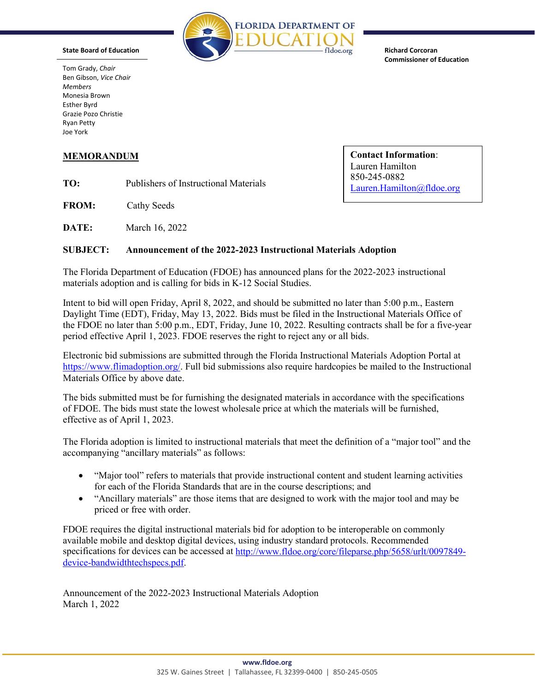

**Commissioner of Education** 

 Ben Gibson, *Vice Chair*  Tom Grady, *Chair Members*  Monesia Brown Esther Byrd Grazie Pozo Christie Ryan Petty Joe York

TO: Publishers of Instructional Materials  $850-245-0882$ <br>Lauren.Hamilton@fldoe.org

**FROM:** Cathy Seeds

**DATE:** March 16, 2022

## **SUBJECT: Announcement of the 2022-2023 Instructional Materials Adoption**

 materials adoption and is calling for bids in K-12 Social Studies. The Florida Department of Education (FDOE) has announced plans for the 2022-2023 instructional

 period effective April 1, 2023. FDOE reserves the right to reject any or all bids. Intent to bid will open Friday, April 8, 2022, and should be submitted no later than 5:00 p.m., Eastern Daylight Time (EDT), Friday, May 13, 2022. Bids must be filed in the Instructional Materials Office of the FDOE no later than 5:00 p.m., EDT, Friday, June 10, 2022. Resulting contracts shall be for a five-year

Electronic bid submissions are submitted through the Florida Instructional Materials Adoption Portal at [https://www.flimadoption.org/.](https://www.flimadoption.org/) Full bid submissions also require hardcopies be mailed to the Instructional Materials Office by above date.

 The bids submitted must be for furnishing the designated materials in accordance with the specifications of FDOE. The bids must state the lowest wholesale price at which the materials will be furnished, effective as of April 1, 2023.

 The Florida adoption is limited to instructional materials that meet the definition of a "major tool" and the accompanying "ancillary materials" as follows:

- • "Major tool" refers to materials that provide instructional content and student learning activities for each of the Florida Standards that are in the course descriptions; and
- "Ancillary materials" are those items that are designed to work with the major tool and may be priced or free with order.

 FDOE requires the digital instructional materials bid for adoption to be interoperable on commonly available mobile and desktop digital devices, using industry standard protocols. Recommended specifications for devices can be accessed at [h](http://www.fldoe.org/core/fileparse.php/5658/urlt/0097849-device-bandwidthtechspecs.pdf)[ttp://www.fldoe.org/core/fileparse.php/5658/urlt/0097849](http://www.fldoe.org/core/fileparse.php/5658/urlt/0097849) [device-bandwidthtechspecs.pdf.](http://www.fldoe.org/core/fileparse.php/5658/urlt/0097849-device-bandwidthtechspecs.pdf)

Announcement of the 2022-2023 Instructional Materials Adoption March 1, 2022

**MEMORANDUM Contact Information**: Lauren Hamilton